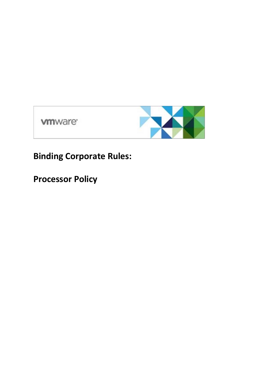**vm**ware<sup>®</sup>



**Binding Corporate Rules:**

**Processor Policy**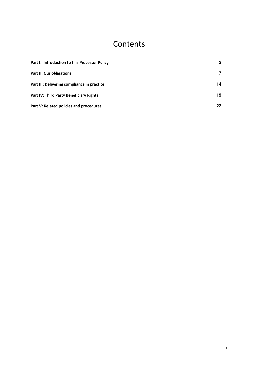## **Contents**

| Part I: Introduction to this Processor Policy  | $\mathbf{2}$ |
|------------------------------------------------|--------------|
| <b>Part II: Our obligations</b>                |              |
| Part III: Delivering compliance in practice    | 14           |
| <b>Part IV: Third Party Beneficiary Rights</b> | 19           |
| Part V: Related policies and procedures        | 22           |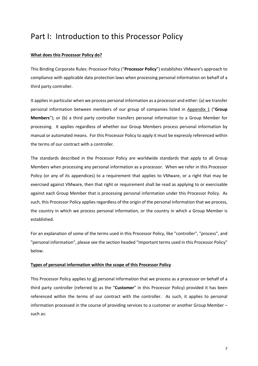## Part I: Introduction to this Processor Policy

## **What does this Processor Policy do?**

This Binding Corporate Rules: Processor Policy ("**Processor Policy**") establishes VMware's approach to compliance with applicable data protection laws when processing personal information on behalf of a third party controller.

It applies in particular when we process personal information as a processor and either: (a) we transfer personal information between members of our group of companies listed in Appendix 1 ("**Group Members**"); or (b) a third party controller transfers personal information to a Group Member for processing. It applies regardless of whether our Group Members process personal information by manual or automated means. For this Processor Policy to apply it must be expressly referenced within the terms of our contract with a controller.

The standards described in the Processor Policy are worldwide standards that apply to all Group Members when processing any personal information as a processor. When we refer in this Processor Policy (or any of its appendices) to a requirement that applies to VMware, or a right that may be exercised against VMware, then that right or requirement shall be read as applying to or exercisable against each Group Member that is processing personal information under this Processor Policy. As such, this Processor Policy applies regardless of the origin of the personal information that we process, the country in which we process personal information, or the country in which a Group Member is established.

For an explanation of some of the terms used in this Processor Policy, like "controller", "process", and "personal information", please see the section headed "Important terms used in this Processor Policy" below.

## **Types of personal information within the scope of this Processor Policy**

This Processor Policy applies to all personal information that we process as a processor on behalf of a third party controller (referred to as the "**Customer**" in this Processor Policy) provided it has been referenced within the terms of our contract with the controller. As such, it applies to personal information processed in the course of providing services to a customer or another Group Member – such as: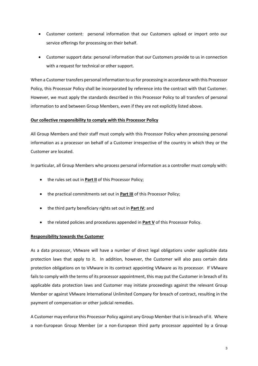- Customer content: personal information that our Customers upload or import onto our service offerings for processing on their behalf.
- Customer support data: personal information that our Customers provide to us in connection with a request for technical or other support.

When a Customer transfers personal information to us for processing in accordance with this Processor Policy, this Processor Policy shall be incorporated by reference into the contract with that Customer. However, we must apply the standards described in this Processor Policy to all transfers of personal information to and between Group Members, even if they are not explicitly listed above.

## **Our collective responsibility to comply with this Processor Policy**

All Group Members and their staff must comply with this Processor Policy when processing personal information as a processor on behalf of a Customer irrespective of the country in which they or the Customer are located.

In particular, all Group Members who process personal information as a controller must comply with:

- the rules set out in **Part II** of this Processor Policy;
- the practical commitments set out in **Part III** of this Processor Policy;
- the third party beneficiary rights set out in **Part IV**; and
- the related policies and procedures appended in **Part V** of this Processor Policy.

## **Responsibility towards the Customer**

As a data processor, VMware will have a number of direct legal obligations under applicable data protection laws that apply to it. In addition, however, the Customer will also pass certain data protection obligations on to VMware in its contract appointing VMware as its processor. If VMware fails to comply with the terms of its processor appointment, this may put the Customer in breach of its applicable data protection laws and Customer may initiate proceedings against the relevant Group Member or against VMware International Unlimited Company for breach of contract, resulting in the payment of compensation or other judicial remedies.

A Customer may enforce this Processor Policy against any Group Member that is in breach of it. Where a non-European Group Member (or a non-European third party processor appointed by a Group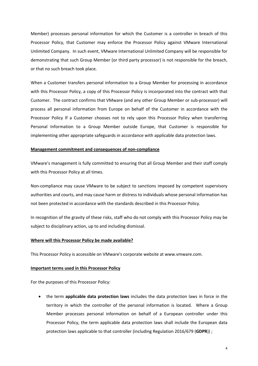Member) processes personal information for which the Customer is a controller in breach of this Processor Policy, that Customer may enforce the Processor Policy against VMware International Unlimited Company. In such event, VMware International Unlimited Company will be responsible for demonstrating that such Group Member (or third party processor) is not responsible for the breach, or that no such breach took place.

When a Customer transfers personal information to a Group Member for processing in accordance with this Processor Policy, a copy of this Processor Policy is incorporated into the contract with that Customer. The contract confirms that VMware (and any other Group Member or sub-processor) will process all personal information from Europe on behalf of the Customer in accordance with the Processor Policy If a Customer chooses not to rely upon this Processor Policy when transferring Personal Information to a Group Member outside Europe, that Customer is responsible for implementing other appropriate safeguards in accordance with applicable data protection laws.

## **Management commitment and consequences of non-compliance**

VMware's management is fully committed to ensuring that all Group Member and their staff comply with this Processor Policy at all times.

Non-compliance may cause VMware to be subject to sanctions imposed by competent supervisory authorities and courts, and may cause harm or distress to individuals whose personal information has not been protected in accordance with the standards described in this Processor Policy.

In recognition of the gravity of these risks, staff who do not comply with this Processor Policy may be subject to disciplinary action, up to and including dismissal.

#### **Where will this Processor Policy be made available?**

This Processor Policy is accessible on VMware's corporate website at www.vmware.com.

#### **Important terms used in this Processor Policy**

For the purposes of this Processor Policy:

• the term **applicable data protection laws** includes the data protection laws in force in the territory in which the controller of the personal information is located. Where a Group Member processes personal information on behalf of a European controller under this Processor Policy, the term applicable data protection laws shall include the European data protection laws applicable to that controller (including Regulation 2016/679 (**GDPR**)) ;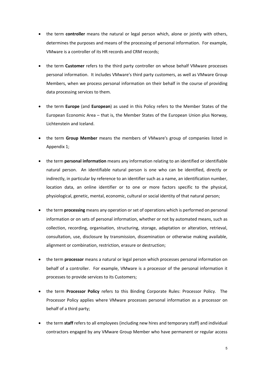- the term **controller** means the natural or legal person which, alone or jointly with others, determines the purposes and means of the processing of personal information. For example, VMware is a controller of its HR records and CRM records;
- the term **Customer** refers to the third party controller on whose behalf VMware processes personal information. It includes VMware's third party customers, as well as VMware Group Members, when we process personal information on their behalf in the course of providing data processing services to them.
- the term **Europe** (and **European**) as used in this Policy refers to the Member States of the European Economic Area – that is, the Member States of the European Union plus Norway, Lichtenstein and Iceland.
- the term **Group Member** means the members of VMware's group of companies listed in Appendix 1;
- the term **personal information** means any information relating to an identified or identifiable natural person. An identifiable natural person is one who can be identified, directly or indirectly, in particular by reference to an identifier such as a name, an identification number, location data, an online identifier or to one or more factors specific to the physical, physiological, genetic, mental, economic, cultural or social identity of that natural person;
- the term **processing** means any operation or set of operations which is performed on personal information or on sets of personal information, whether or not by automated means, such as collection, recording, organisation, structuring, storage, adaptation or alteration, retrieval, consultation, use, disclosure by transmission, dissemination or otherwise making available, alignment or combination, restriction, erasure or destruction;
- the term **processor** means a natural or legal person which processes personal information on behalf of a controller. For example, VMware is a processor of the personal information it processes to provide services to its Customers;
- the term **Processor Policy** refers to this Binding Corporate Rules: Processor Policy. The Processor Policy applies where VMware processes personal information as a processor on behalf of a third party;
- the term **staff** refers to all employees (including new hires and temporary staff) and individual contractors engaged by any VMware Group Member who have permanent or regular access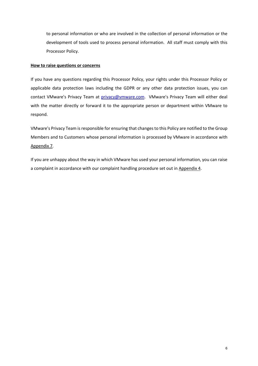to personal information or who are involved in the collection of personal information or the development of tools used to process personal information. All staff must comply with this Processor Policy.

## **How to raise questions or concerns**

If you have any questions regarding this Processor Policy, your rights under this Processor Policy or applicable data protection laws including the GDPR or any other data protection issues, you can contact VMware's Privacy Team at privacy@vmware.com. VMware's Privacy Team will either deal with the matter directly or forward it to the appropriate person or department within VMware to respond.

VMware's Privacy Team is responsible for ensuring that changes to this Policy are notified to the Group Members and to Customers whose personal information is processed by VMware in accordance with Appendix 7.

If you are unhappy about the way in which VMware has used your personal information, you can raise a complaint in accordance with our complaint handling procedure set out in Appendix 4.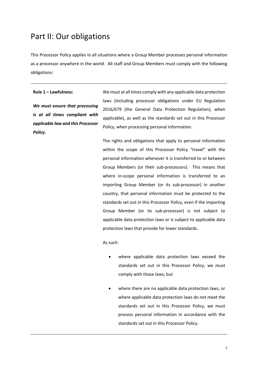## Part II: Our obligations

This Processor Policy applies in all situations where a Group Member processes personal information as a processor anywhere in the world. All staff and Group Members must comply with the following obligations:

**Rule 1 – Lawfulness:** 

*We must ensure that processing is at all times compliant with applicable law and this Processor Policy.*

We must at all times comply with any applicable data protection laws (including processor obligations under EU Regulation 2016/679 (the General Data Protection Regulation), when applicable), as well as the standards set out in this Processor Policy, when processing personal information.

The rights and obligations that apply to personal information within the scope of this Processor Policy "travel" with the personal information whenever it is transferred to or between Group Members (or their sub-processors). This means that where in-scope personal information is transferred to an importing Group Member (or its sub-processor) in another country, that personal information must be protected to the standards set out in this Processor Policy, even if the importing Group Member (or its sub-processor) is not subject to applicable data protection laws or is subject to applicable data protection laws that provide for lower standards.

As such:

- where applicable data protection laws exceed the standards set out in this Processor Policy, we must comply with those laws; but
- where there are no applicable data protection laws, or where applicable data protection laws do not meet the standards set out in this Processor Policy, we must process personal information in accordance with the standards set out in this Processor Policy.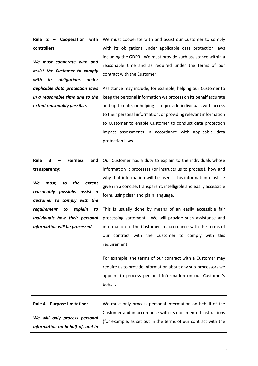**Rule 2 – Cooperation with controllers:**

*We must cooperate with and assist the Customer to comply with its obligations under applicable data protection laws in a reasonable time and to the extent reasonably possible.* 

We must cooperate with and assist our Customer to comply with its obligations under applicable data protection laws including the GDPR. We must provide such assistance within a reasonable time and as required under the terms of our contract with the Customer.

Assistance may include, for example, helping our Customer to keep the personal information we process on its behalf accurate and up to date, or helping it to provide individuals with access to their personal information, or providing relevant information to Customer to enable Customer to conduct data protection impact assessments in accordance with applicable data protection laws.

**Rule 3 – Fairness and transparency:**

*We must, to the extent reasonably possible, assist a Customer to comply with the requirement to explain to individuals how their personal information will be processed.*

Our Customer has a duty to explain to the individuals whose information it processes (or instructs us to process), how and why that information will be used. This information must be given in a concise, transparent, intelligible and easily accessible form, using clear and plain language.

This is usually done by means of an easily accessible fair processing statement. We will provide such assistance and information to the Customer in accordance with the terms of our contract with the Customer to comply with this requirement.

For example, the terms of our contract with a Customer may require us to provide information about any sub-processors we appoint to process personal information on our Customer's behalf.

**Rule 4 – Purpose limitation:** *We will only process personal information on behalf of, and in* 

We must only process personal information on behalf of the Customer and in accordance with its documented instructions (for example, as set out in the terms of our contract with the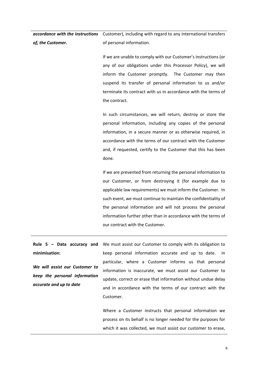*accordance with the instructions of, the Customer.* Customer), including with regard to any international transfers of personal information.

> If we are unable to comply with our Customer's instructions (or any of our obligations under this Processor Policy), we will inform the Customer promptly. The Customer may then suspend its transfer of personal information to us and/or terminate its contract with us in accordance with the terms of the contract.

> In such circumstances, we will return, destroy or store the personal information, including any copies of the personal information, in a secure manner or as otherwise required, in accordance with the terms of our contract with the Customer and, if requested, certify to the Customer that this has been done.

> If we are prevented from returning the personal information to our Customer, or from destroying it (for example due to applicable law requirements) we must inform the Customer. In such event, we must continue to maintain the confidentiality of the personal information and will not process the personal information further other than in accordance with the terms of our contract with the Customer.

**Rule 5 – Data accuracy and minimisation:**

*We will assist our Customer to keep the personal information accurate and up to date*

We must assist our Customer to comply with its obligation to keep personal information accurate and up to date. In particular, where a Customer informs us that personal information is inaccurate, we must assist our Customer to update, correct or erase that information without undue delay and in accordance with the terms of our contract with the Customer.

Where a Customer instructs that personal information we process on its behalf is no longer needed for the purposes for which it was collected, we must assist our customer to erase,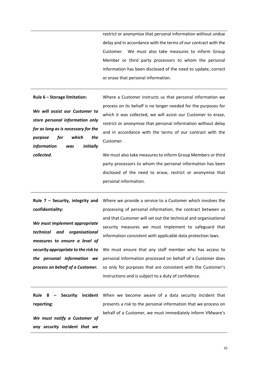restrict or anonymise that personal information without undue delay and in accordance with the terms of our contract with the Customer. We must also take measures to inform Group Member or third party processors to whom the personal information has been disclosed of the need to update, correct or erase that personal information.

#### **Rule 6 – Storage limitation:**

*We will assist our Customer to store personal information only for as long as is necessary for the purpose for which the information was initially collected.*

Where a Customer instructs us that personal information we process on its behalf is no longer needed for the purposes for which it was collected, we will assist our Customer to erase, restrict or anonymise that personal information without delay and in accordance with the terms of our contract with the Customer.

We must also take measures to inform Group Members or third party processors to whom the personal information has been disclosed of the need to erase, restrict or anonymise that personal information.

**Rule 7 – Security, integrity and confidentiality:**

*We must implement appropriate technical and organisational measures to ensure a level of security appropriate to the risk to the personal information we process on behalf of a Customer.*

Where we provide a service to a Customer which involves the processing of personal information, the contract between us and that Customer will set out the technical and organisational security measures we must implement to safeguard that information consistent with applicable data protection laws.

We must ensure that any staff member who has access to personal information processed on behalf of a Customer does so only for purposes that are consistent with the Customer's instructions and is subject to a duty of confidence.

**Rule 8 – Security incident reporting:** When we become aware of a data security incident that presents a risk to the personal information that we process on behalf of a Customer, we must immediately inform VMware's

*We must notify a Customer of any security incident that we* 

10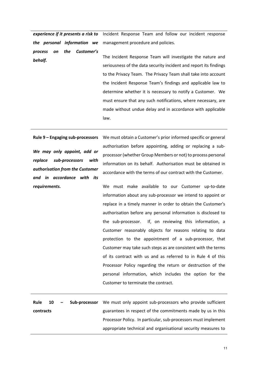*experience if it presents a risk to the personal information we process on the Customer's behalf.*

Incident Response Team and follow our incident response management procedure and policies.

The Incident Response Team will investigate the nature and seriousness of the data security incident and report its findings to the Privacy Team. The Privacy Team shall take into account the Incident Response Team's findings and applicable law to determine whether it is necessary to notify a Customer. We must ensure that any such notifications, where necessary, are made without undue delay and in accordance with applicable law.

**Rule 9 – Engaging sub-processors**

*We may only appoint, add or replace sub-processors with authorisation from the Customer and in accordance with its requirements.*

We must obtain a Customer's prior informed specific or general authorisation before appointing, adding or replacing a subprocessor (whether Group Members or not) to process personal information on its behalf. Authorisation must be obtained in accordance with the terms of our contract with the Customer.

We must make available to our Customer up-to-date information about any sub-processor we intend to appoint or replace in a timely manner in order to obtain the Customer's authorisation before any personal information is disclosed to the sub-processor. If, on reviewing this information, a Customer reasonably objects for reasons relating to data protection to the appointment of a sub-processor, that Customer may take such steps as are consistent with the terms of its contract with us and as referred to in Rule 4 of this Processor Policy regarding the return or destruction of the personal information, which includes the option for the Customer to terminate the contract.

**Rule 10 – Sub-processor contracts** We must only appoint sub-processors who provide sufficient guarantees in respect of the commitments made by us in this Processor Policy. In particular, sub-processors must implement appropriate technical and organisational security measures to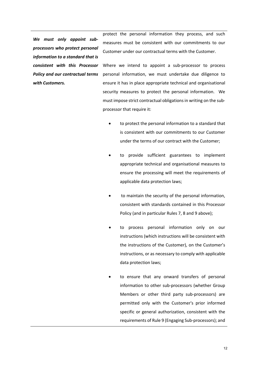*We must only appoint subprocessors who protect personal information to a standard that is consistent with this Processor Policy and our contractual terms with Customers.*

protect the personal information they process, and such measures must be consistent with our commitments to our Customer under our contractual terms with the Customer.

Where we intend to appoint a sub-processor to process personal information, we must undertake due diligence to ensure it has in place appropriate technical and organisational security measures to protect the personal information. We must impose strict contractual obligations in writing on the subprocessor that require it:

- to protect the personal information to a standard that is consistent with our commitments to our Customer under the terms of our contract with the Customer;
- to provide sufficient guarantees to implement appropriate technical and organisational measures to ensure the processing will meet the requirements of applicable data protection laws;
- to maintain the security of the personal information, consistent with standards contained in this Processor Policy (and in particular Rules 7, 8 and 9 above);
- to process personal information only on our instructions (which instructions will be consistent with the instructions of the Customer), on the Customer's instructions, or as necessary to comply with applicable data protection laws;
- to ensure that any onward transfers of personal information to other sub-processors (whether Group Members or other third party sub-processors) are permitted only with the Customer's prior informed specific or general authorization, consistent with the requirements of Rule 9 (Engaging Sub-processors); and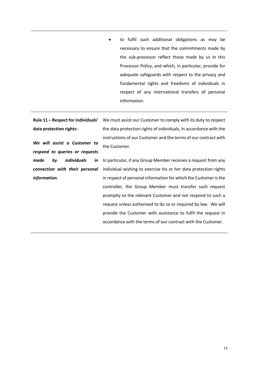• to fulfil such additional obligations as may be necessary to ensure that the commitments made by the sub-processor reflect those made by us in this Processor Policy, and which, in particular, provide for adequate safeguards with respect to the privacy and fundamental rights and freedoms of individuals in respect of any international transfers of personal information.

**Rule 11 – Respect for individuals' data protection rights:**

*We will assist a Customer to respond to queries or requests made by individuals in connection with their personal information.* 

We must assist our Customer to comply with its duty to respect the data protection rights of individuals, in accordance with the instructions of our Customer and the terms of our contract with the Customer.

In particular, if any Group Member receives a request from any individual wishing to exercise his or her data protection rights in respect of personal information for which the Customer is the controller, the Group Member must transfer such request promptly to the relevant Customer and not respond to such a request unless authorised to do so or required by law. We will provide the Customer with assistance to fulfil the request in accordance with the terms of our contract with the Customer.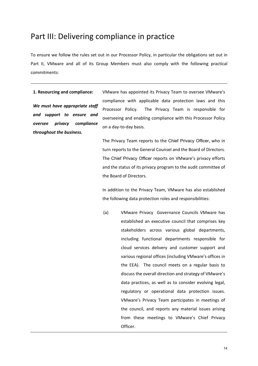## Part III: Delivering compliance in practice

To ensure we follow the rules set out in our Processor Policy, in particular the obligations set out in Part II, VMware and all of its Group Members must also comply with the following practical commitments:

**1. Resourcing and compliance:**

*We must have appropriate staff and support to ensure and oversee privacy compliance throughout the business.*

VMware has appointed its Privacy Team to oversee VMware's compliance with applicable data protection laws and this Processor Policy. The Privacy Team is responsible for overseeing and enabling compliance with this Processor Policy on a day-to-day basis.

The Privacy Team reports to the Chief Privacy Officer, who in turn reports to the General Counsel and the Board of Directors. The Chief Privacy Officer reports on VMware's privacy efforts and the status of its privacy program to the audit committee of the Board of Directors.

In addition to the Privacy Team, VMware has also established the following data protection roles and responsibilities:

(a) VMware Privacy Governance Councils VMware has established an executive council that comprises key stakeholders across various global departments, including functional departments responsible for cloud services delivery and customer support and various regional offices (including VMware's offices in the EEA). The council meets on a regular basis to discuss the overall direction and strategy of VMware's data practices, as well as to consider evolving legal, regulatory or operational data protection issues. VMware's Privacy Team participates in meetings of the council, and reports any material issues arising from these meetings to VMware's Chief Privacy Officer.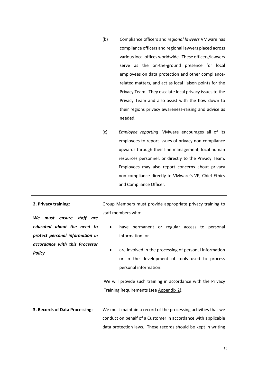- (b) Compliance officers and *regional lawyers* VMware has compliance officers and regional lawyers placed across various local offices worldwide. These officers/lawyers serve as the on-the-ground presence for local employees on data protection and other compliancerelated matters, and act as local liaison points for the Privacy Team. They escalate local privacy issues to the Privacy Team and also assist with the flow down to their regions privacy awareness-raising and advice as needed.
- (c) *Employee reporting*: VMware encourages all of its employees to report issues of privacy non-compliance upwards through their line management, local human resources personnel, or directly to the Privacy Team. Employees may also report concerns about privacy non-compliance directly to VMware's VP, Chief Ethics and Compliance Officer.

Group Members must provide appropriate privacy training to

*We must ensure staff are educated about the need to protect personal information in accordance with this Processor Policy* staff members who: have permanent or regular access to personal information; or are involved in the processing of personal information or in the development of tools used to process personal information. We will provide such training in accordance with the Privacy Training Requirements (see Appendix 2). **3. Records of Data Processing:** We must maintain a record of the processing activities that we conduct on behalf of a Customer in accordance with applicable data protection laws. These records should be kept in writing

**2. Privacy training:**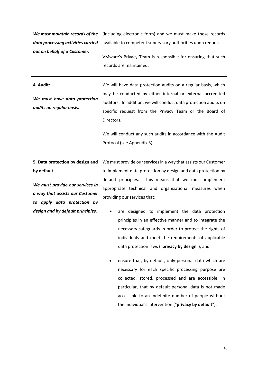|                                    | We must maintain records of the (including electronic form) and we must make these records |
|------------------------------------|--------------------------------------------------------------------------------------------|
| data processing activities carried | available to competent supervisory authorities upon request.                               |
| out on behalf of a Customer.       | VMware's Privacy Team is responsible for ensuring that such<br>records are maintained.     |
| 4. Audit:                          |                                                                                            |
|                                    | We will have data protection audits on a regular basis, which                              |
|                                    | may be conducted by either internal or external accredited                                 |
| We must have data protection       | auditors. In addition, we will conduct data protection audits on                           |
| audits on regular basis.           | specific request from the Privacy Team or the Board of                                     |
|                                    | Directors.                                                                                 |
|                                    |                                                                                            |
|                                    | We will conduct any such audits in accordance with the Audit                               |
|                                    | Protocol (see Appendix 3).                                                                 |

**by default**

*We must provide our services in a way that assists our Customer to apply data protection by design and by default principles.*

5. Data protection by design and We must provide our services in a way that assists our Customer to implement data protection by design and data protection by default principles. This means that we must implement appropriate technical and organizational measures when providing our services that:

- are designed to implement the data protection principles in an effective manner and to integrate the necessary safeguards in order to protect the rights of individuals and meet the requirements of applicable data protection laws ("**privacy by design**"); and
- ensure that, by default, only personal data which are necessary for each specific processing purpose are collected, stored, processed and are accessible; in particular, that by default personal data is not made accessible to an indefinite number of people without the individual's intervention ("**privacy by default**").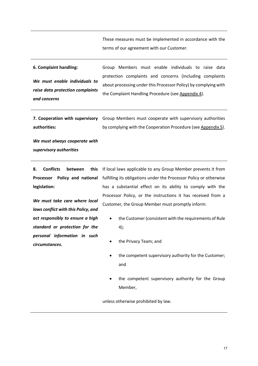These measures must be implemented in accordance with the terms of our agreement with our Customer.

**6. Complaint handling:** *We must enable individuals to raise data protection complaints and concerns* Group Members must enable individuals to raise data protection complaints and concerns (including complaints about processing under this Processor Policy) by complying with the Complaint Handling Procedure (see Appendix 4).

**7. Cooperation with supervisory authorities:**  Group Members must cooperate with supervisory authorities by complying with the Cooperation Procedure (see Appendix 5).

*We must always cooperate with supervisory authorities* 

**8. Conflicts between this Processor Policy and national legislation:**

*We must take care where local laws conflict with this Policy, and act responsibly to ensure a high standard or protection for the personal information in such circumstances.*

If local laws applicable to any Group Member prevents it from fulfilling its obligations under the Processor Policy or otherwise has a substantial effect on its ability to comply with the Processor Policy, or the instructions it has received from a Customer, the Group Member must promptly inform:

- the Customer (consistent with the requirements of Rule 4);
- the Privacy Team; and
- the competent supervisory authority for the Customer; and
- the competent supervisory authority for the Group Member,

unless otherwise prohibited by law.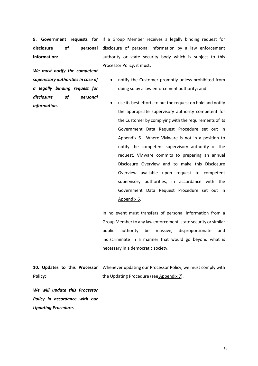**disclosure of personal information:**

**9. Government requests for**  If a Group Member receives a legally binding request for disclosure of personal information by a law enforcement authority or state security body which is subject to this Processor Policy, it must:

*We must notify the competent supervisory authorities in case of a legally binding request for disclosure of personal information.*

- notify the Customer promptly unless prohibited from doing so by a law enforcement authority; and
- use its best efforts to put the request on hold and notify the appropriate supervisory authority competent for the Customer by complying with the requirements of its Government Data Request Procedure set out in Appendix 6. Where VMware is not in a position to notify the competent supervisory authority of the request, VMware commits to preparing an annual Disclosure Overview and to make this Disclosure Overview available upon request to competent supervisory authorities, in accordance with the Government Data Request Procedure set out in Appendix 6.

In no event must transfers of personal information from a Group Member to any law enforcement, state security or similar public authority be massive, disproportionate and indiscriminate in a manner that would go beyond what is necessary in a democratic society.

10. Updates to this Processor Whenever updating our Processor Policy, we must comply with **Policy:** the Updating Procedure (see Appendix 7).

*We will update this Processor Policy in accordance with our Updating Procedure.*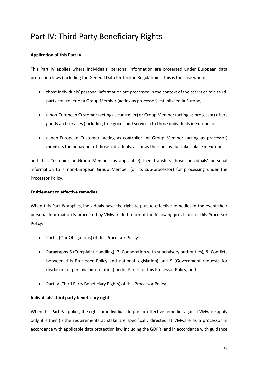# Part IV: Third Party Beneficiary Rights

## **Application of this Part IV**

This Part IV applies where individuals' personal information are protected under European data protection laws (including the General Data Protection Regulation). This is the case when:

- those individuals' personal information are processed in the context of the activities of a thirdparty controller or a Group Member (acting as processor) established in Europe;
- a non-European Customer (acting as controller) or Group Member (acting as processor) offers goods and services (including free goods and services) to those individuals in Europe; or
- a non-European Customer (acting as controller) or Group Member (acting as processor) monitors the behaviour of those individuals, as far as their behaviour takes place in Europe;

and that Customer or Group Member (as applicable) then transfers those individuals' personal information to a non-European Group Member (or its sub-processor) for processing under the Processor Policy.

## **Entitlement to effective remedies**

When this Part IV applies, individuals have the right to pursue effective remedies in the event their personal information is processed by VMware in breach of the following provisions of this Processor Policy:

- Part II (Our Obligations) of this Processor Policy;
- Paragraphs 6 (Complaint Handling), 7 (Cooperation with supervisory authorities), 8 (Conflicts between this Processor Policy and national legislation) and 9 (Government requests for disclosure of personal information) under Part III of this Processor Policy; and
- Part IV (Third Party Beneficiary Rights) of this Processor Policy.

## **Individuals' third party beneficiary rights**

When this Part IV applies, the right for individuals to pursue effective remedies against VMware apply only if either (i) the requirements at stake are specifically directed at VMware as a processor in accordance with applicable data protection law including the GDPR (and in accordance with guidance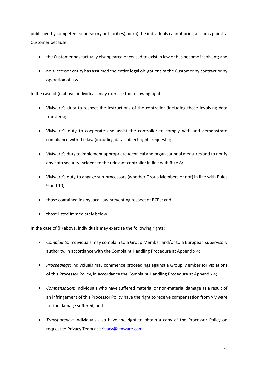published by competent supervisory authorities), or (ii) the individuals cannot bring a claim against a Customer because:

- the Customer has factually disappeared or ceased to exist in law or has become insolvent; and
- no successor entity has assumed the entire legal obligations of the Customer by contract or by operation of law.

In the case of (i) above, individuals may exercise the following rights:

- VMware's duty to respect the instructions of the controller (including those involving data transfers);
- VMware's duty to cooperate and assist the controller to comply with and demonstrate compliance with the law (including data subject rights requests);
- VMware's duty to implement appropriate technical and organisational measures and to notify any data security incident to the relevant controller in line with Rule 8;
- VMware's duty to engage sub-processors (whether Group Members or not) in line with Rules 9 and 10;
- those contained in any local law preventing respect of BCRs; and
- those listed immediately below.

In the case of (ii) above, individuals may exercise the following rights:

- *Complaints*: Individuals may complain to a Group Member and/or to a European supervisory authority, in accordance with the Complaint Handling Procedure at Appendix 4;
- *Proceedings*: Individuals may commence proceedings against a Group Member for violations of this Processor Policy, in accordance the Complaint Handling Procedure at Appendix 4;
- *Compensation*: Individuals who have suffered material or non-material damage as a result of an infringement of this Processor Policy have the right to receive compensation from VMware for the damage suffered; and
- *Transparency*: Individuals also have the right to obtain a copy of the Processor Policy on request to Privacy Team at privacy@vmware.com.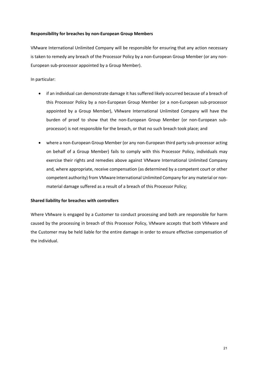## **Responsibility for breaches by non-European Group Members**

VMware International Unlimited Company will be responsible for ensuring that any action necessary is taken to remedy any breach of the Processor Policy by a non-European Group Member (or any non-European sub-processor appointed by a Group Member).

## In particular:

- if an individual can demonstrate damage it has suffered likely occurred because of a breach of this Processor Policy by a non-European Group Member (or a non-European sub-processor appointed by a Group Member), VMware International Unlimited Company will have the burden of proof to show that the non-European Group Member (or non-European subprocessor) is not responsible for the breach, or that no such breach took place; and
- where a non-European Group Member (or any non-European third party sub-processor acting on behalf of a Group Member) fails to comply with this Processor Policy, individuals may exercise their rights and remedies above against VMware International Unlimited Company and, where appropriate, receive compensation (as determined by a competent court or other competent authority) from VMware International Unlimited Company for any material or nonmaterial damage suffered as a result of a breach of this Processor Policy;

## **Shared liability for breaches with controllers**

Where VMware is engaged by a Customer to conduct processing and both are responsible for harm caused by the processing in breach of this Processor Policy, VMware accepts that both VMware and the Customer may be held liable for the entire damage in order to ensure effective compensation of the individual.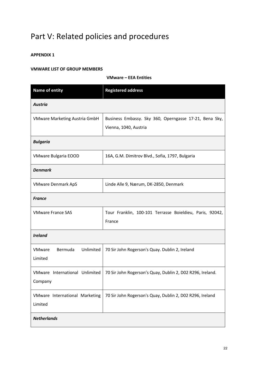# Part V: Related policies and procedures

## **APPENDIX 1**

## **VMWARE LIST OF GROUP MEMBERS**

## **VMware – EEA Entities**

| <b>Name of entity</b>                            | <b>Registered address</b>                                                       |
|--------------------------------------------------|---------------------------------------------------------------------------------|
| <b>Austria</b>                                   |                                                                                 |
| VMware Marketing Austria GmbH                    | Business Embassy. Sky 360, Operngasse 17-21, Bena Sky,<br>Vienna, 1040, Austria |
| <b>Bulgaria</b>                                  |                                                                                 |
| <b>VMware Bulgaria EOOD</b>                      | 16A, G.M. Dimitrov Blvd., Sofia, 1797, Bulgaria                                 |
| <b>Denmark</b>                                   |                                                                                 |
| <b>VMware Denmark ApS</b>                        | Linde Alle 9, Nærum, DK-2850, Denmark                                           |
| <b>France</b>                                    |                                                                                 |
| <b>VMware France SAS</b>                         | Tour Franklin, 100-101 Terrasse Boieldieu, Paris, 92042,<br>France              |
| <b>Ireland</b>                                   |                                                                                 |
| Bermuda<br>Unlimited<br><b>VMware</b><br>Limited | 70 Sir John Rogerson's Quay. Dublin 2, Ireland                                  |
| VMware International Unlimited<br>Company        | 70 Sir John Rogerson's Quay, Dublin 2, D02 R296, Ireland.                       |
| VMware International Marketing<br>Limited        | 70 Sir John Rogerson's Quay, Dublin 2, D02 R296, Ireland                        |
| <b>Netherlands</b>                               |                                                                                 |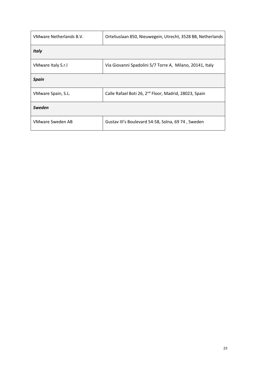| VMware Netherlands B.V. | Orteliuslaan 850, Nieuwegein, Utrecht, 3528 BB, Netherlands       |
|-------------------------|-------------------------------------------------------------------|
| <b>Italy</b>            |                                                                   |
| VMware Italy S.r.I      | Via Giovanni Spadolini 5/7 Torre A, Milano, 20141, Italy          |
| <b>Spain</b>            |                                                                   |
| VMware Spain, S.L.      | Calle Rafael Boti 26, 2 <sup>nd</sup> Floor, Madrid, 28023, Spain |
| <b>Sweden</b>           |                                                                   |
| VMware Sweden AB        | Gustav III's Boulevard 54-58, Solna, 69 74, Sweden                |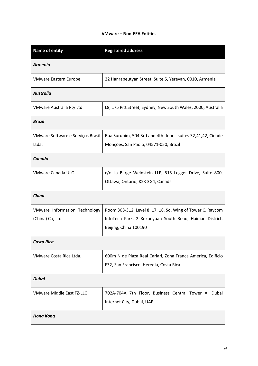## **VMware – Non-EEA Entities**

| <b>Name of entity</b>             | <b>Registered address</b>                                     |
|-----------------------------------|---------------------------------------------------------------|
| <b>Armenia</b>                    |                                                               |
| <b>VMware Eastern Europe</b>      | 22 Hanrapeutyan Street, Suite 5, Yerevan, 0010, Armenia       |
| <b>Australia</b>                  |                                                               |
| VMware Australia Pty Ltd          | L8, 175 Pitt Street, Sydney, New South Wales, 2000, Australia |
| <b>Brazil</b>                     |                                                               |
| VMware Software e Serviços Brasil | Rua Surubim, 504 3rd and 4th floors, suites 32,41,42, Cidade  |
| Ltda.                             | Monções, San Paolo, 04571-050, Brazil                         |
| Canada                            |                                                               |
| VMware Canada ULC.                | c/o La Barge Weinstein LLP, 515 Legget Drive, Suite 800,      |
|                                   | Ottawa, Ontario, K2K 3G4, Canada                              |
| China                             |                                                               |
| VMware Information Technology     | Room 308-312, Level 8, 17, 18, So. Wing of Tower C, Raycom    |
| (China) Co, Ltd                   | InfoTech Park, 2 Kexueyuan South Road, Haidian District,      |
|                                   | Beijing, China 100190                                         |
| <b>Costa Rica</b>                 |                                                               |
| VMware Costa Rica Ltda.           | 600m N de Plaza Real Cariari, Zona Franca America, Edificio   |
|                                   | F32, San Francisco, Heredia, Costa Rica                       |
| <b>Dubai</b>                      |                                                               |
| <b>VMware Middle East FZ-LLC</b>  | 702A-704A 7th Floor, Business Central Tower A, Dubai          |
|                                   | Internet City, Dubai, UAE                                     |
| <b>Hong Kong</b>                  |                                                               |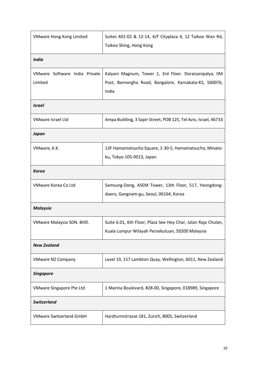| <b>VMware Hong Kong Limited</b>          | Suites 401-02 & 12-14, 4/F Cityplaza 4, 12 Taikoo Wan Rd,<br>Taikoo Shing, Hong Kong                                       |
|------------------------------------------|----------------------------------------------------------------------------------------------------------------------------|
| <b>India</b>                             |                                                                                                                            |
| VMware Software India Private<br>Limited | Kalyani Magnum, Tower 1, 3rd Floor. Doraisanipalya, IIM<br>Post, Bannergha Road, Bangalore, Karnakata-KS, 560076,<br>India |
| <b>Israel</b>                            |                                                                                                                            |
| VMware Israel Ltd                        | Ampa Building, 3 Sapir Street, POB 125, Tel Aviv, Israel, 46733                                                            |
| Japan                                    |                                                                                                                            |
| VMware, K.K.                             | 13F Hamamatsucho Square, 1-30-5, Hamamatsucho, Minato-<br>ku, Tokyo 105-0013, Japan                                        |
| <b>Korea</b>                             |                                                                                                                            |
| VMware Korea Co Ltd                      | Samsung-Dong, ASEM Tower, 13th Floor, 517, Yeongdong-<br>daero, Gangnam-gu, Seoul, 06164, Korea                            |
| <b>Malaysia</b>                          |                                                                                                                            |
| VMware Malaysia SDN. BHD.                | Suite 6.01, 6th Floor, Plaza See Hoy Char, Jalan Raja Chulan,<br>Kuala Lumpur Wilayah Persekutuan, 50200 Malaysia          |
| <b>New Zealand</b>                       |                                                                                                                            |
| <b>VMware NZ Company</b>                 | Level 19, 157 Lambton Quay, Wellington, 6011, New Zealand                                                                  |
| <b>Singapore</b>                         |                                                                                                                            |
| <b>VMware Singapore Pte Ltd</b>          | 1 Marina Boulevard, #28-00, Singapore, 018989, Singapore                                                                   |
| <b>Switzerland</b>                       |                                                                                                                            |
| <b>VMware Switzerland GmbH</b>           | Hardturmstrasse 181, Zurich, 8005, Switzerland                                                                             |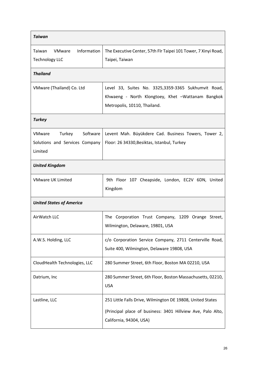| <b>Taiwan</b>                                                             |                                                                                                                                                      |
|---------------------------------------------------------------------------|------------------------------------------------------------------------------------------------------------------------------------------------------|
| VMware<br>Information<br>Taiwan<br><b>Technology LLC</b>                  | The Executive Center, 57th Flr Taipei 101 Tower, 7 Xinyi Road,<br>Taipei, Taiwan                                                                     |
| <b>Thailand</b>                                                           |                                                                                                                                                      |
| VMware (Thailand) Co. Ltd                                                 | Level 33, Suites No. 3325,3359-3365 Sukhumvit Road,<br>Khwaeng - North Klongtoey, Khet -Wattanam Bangkok<br>Metropolis, 10110, Thailand.             |
| <b>Turkey</b>                                                             |                                                                                                                                                      |
| Software<br>Turkey<br>VMware<br>Solutions and Services Company<br>Limited | Levent Mah. Büyükdere Cad. Business Towers, Tower 2,<br>Floor: 26 34330, Besiktas, Istanbul, Turkey                                                  |
| <b>United Kingdom</b>                                                     |                                                                                                                                                      |
| <b>VMware UK Limited</b>                                                  | 9th Floor 107 Cheapside, London, EC2V 6DN, United<br>Kingdom                                                                                         |
| <b>United States of America</b>                                           |                                                                                                                                                      |
| AirWatch LLC                                                              | The Corporation Trust Company, 1209 Orange Street,<br>Wilmington, Delaware, 19801, USA                                                               |
| A.W.S. Holding, LLC                                                       | c/o Corporation Service Company, 2711 Centerville Road,<br>Suite 400, Wilmington, Delaware 19808, USA                                                |
| CloudHealth Technologies, LLC                                             | 280 Summer Street, 6th Floor, Boston MA 02210, USA                                                                                                   |
| Datrium, Inc                                                              | 280 Summer Street, 6th Floor, Boston Massachusetts, 02210,<br><b>USA</b>                                                                             |
| Lastline, LLC                                                             | 251 Little Falls Drive, Wilmington DE 19808, United States<br>(Principal place of business: 3401 Hillview Ave, Palo Alto,<br>California, 94304, USA) |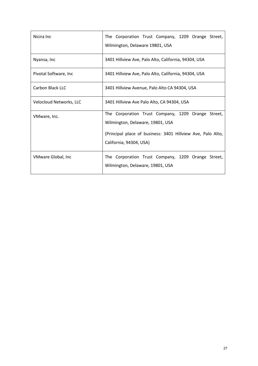| Nicira Inc              | The Corporation Trust Company, 1209 Orange Street,<br>Wilmington, Delaware 19801, USA                                                                                            |
|-------------------------|----------------------------------------------------------------------------------------------------------------------------------------------------------------------------------|
| Nyansa, Inc             | 3401 Hillview Ave, Palo Alto, California, 94304, USA                                                                                                                             |
| Pivotal Software, Inc.  | 3401 Hillview Ave, Palo Alto, California, 94304, USA                                                                                                                             |
| Carbon Black LLC        | 3401 Hillview Avenue, Palo Alto CA 94304, USA                                                                                                                                    |
| Velocloud Networks, LLC | 3401 Hillview Ave Palo Alto, CA 94304, USA                                                                                                                                       |
| VMware, Inc.            | The Corporation Trust Company, 1209 Orange Street,<br>Wilmington, Delaware, 19801, USA<br>(Principal place of business: 3401 Hillview Ave, Palo Alto,<br>California, 94304, USA) |
| VMware Global, Inc      | The Corporation Trust Company, 1209 Orange Street,<br>Wilmington, Delaware, 19801, USA                                                                                           |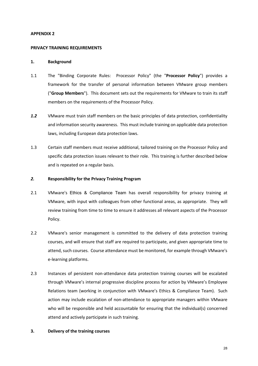## **APPENDIX 2**

#### **PRIVACY TRAINING REQUIREMENTS**

#### **1. Background**

- 1.1 The "Binding Corporate Rules: Processor Policy" (the "**Processor Policy**") provides a framework for the transfer of personal information between VMware group members ("**Group Members**"). This document sets out the requirements for VMware to train its staff members on the requirements of the Processor Policy.
- *1.2* VMware must train staff members on the basic principles of data protection, confidentiality and information security awareness. This must include training on applicable data protection laws, including European data protection laws.
- 1.3 Certain staff members must receive additional, tailored training on the Processor Policy and specific data protection issues relevant to their role. This training is further described below and is repeated on a regular basis.

## *2.* **Responsibility for the Privacy Training Program**

- 2.1 VMware's Ethics & Compliance Team has overall responsibility for privacy training at VMware, with input with colleagues from other functional areas, as appropriate. They will review training from time to time to ensure it addresses all relevant aspects of the Processor Policy.
- 2.2 VMware's senior management is committed to the delivery of data protection training courses, and will ensure that staff are required to participate, and given appropriate time to attend, such courses. Course attendance must be monitored, for example through VMware's e-learning platforms.
- 2.3 Instances of persistent non-attendance data protection training courses will be escalated through VMware's internal progressive discipline process for action by VMware's Employee Relations team (working in conjunction with VMware's Ethics & Compliance Team). Such action may include escalation of non-attendance to appropriate managers within VMware who will be responsible and held accountable for ensuring that the individual(s) concerned attend and actively participate in such training.

## **3. Delivery of the training courses**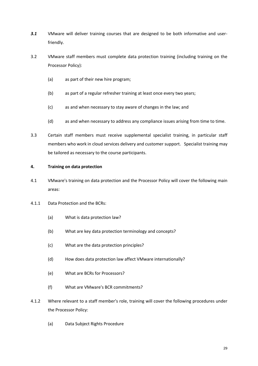- **3.1** VMware will deliver training courses that are designed to be both informative and userfriendly.
- 3.2 VMware staff members must complete data protection training (including training on the Processor Policy):
	- (a) as part of their new hire program;
	- (b) as part of a regular refresher training at least once every two years;
	- (c) as and when necessary to stay aware of changes in the law; and
	- (d) as and when necessary to address any compliance issues arising from time to time.
- 3.3 Certain staff members must receive supplemental specialist training, in particular staff members who work in cloud services delivery and customer support. Specialist training may be tailored as necessary to the course participants.

## **4. Training on data protection**

- 4.1 VMware's training on data protection and the Processor Policy will cover the following main areas:
- 4.1.1 Data Protection and the BCRs:
	- (a) What is data protection law?
	- (b) What are key data protection terminology and concepts?
	- (c) What are the data protection principles?
	- (d) How does data protection law affect VMware internationally?
	- (e) What are BCRs for Processors?
	- (f) What are VMware's BCR commitments?
- 4.1.2 Where relevant to a staff member's role, training will cover the following procedures under the Processor Policy:
	- (a) Data Subject Rights Procedure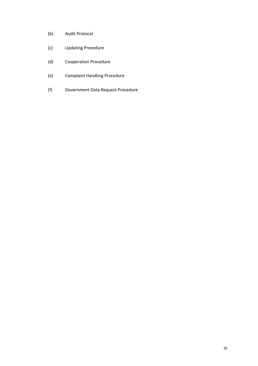- (b) Audit Protocol
- (c) Updating Procedure
- (d) Cooperation Procedure
- (e) Complaint Handling Procedure
- (f) Government Data Request Procedure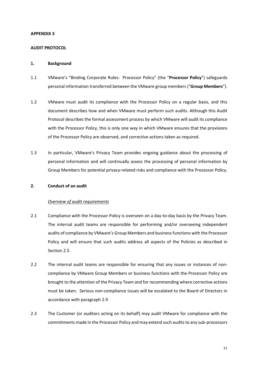## **APPENDIX 3**

## **AUDIT PROTOCOL**

#### **1. Background**

- 1.1 VMware's "Binding Corporate Rules: Processor Policy" (the "**Processor Policy**") safeguards personal information transferred between the VMware group members ("**Group Members**").
- 1.2 VMware must audit its compliance with the Processor Policy on a regular basis, and this document describes how and when VMware must perform such audits. Although this Audit Protocol describes the formal assessment process by which VMware will audit its compliance with the Processor Policy, this is only one way in which VMware ensures that the provisions of the Processor Policy are observed, and corrective actions taken as required.
- 1.3 In particular, VMware's Privacy Team provides ongoing guidance about the processing of personal information and will continually assess the processing of personal information by Group Members for potential privacy-related risks and compliance with the Processor Policy.

#### **2. Conduct of an audit**

## *Overview of audit requirements*

- 2.1 Compliance with the Processor Policy is overseen on a day-to-day basis by the Privacy Team. The internal audit teams are responsible for performing and/or overseeing independent audits of compliance by VMware's Group Members and business functions with the Processor Policy and will ensure that such audits address all aspects of the Policies as described in Section 2.5.
- 2.2 The internal audit teams are responsible for ensuring that any issues or instances of noncompliance by VMware Group Members or business functions with the Processor Policy are brought to the attention of the Privacy Team and for recommending where corrective actions must be taken. Serious non-compliance issues will be escalated to the Board of Directors in accordance with paragraph 2.9
- 2.3 The Customer (or auditors acting on its behalf) may audit VMware for compliance with the commitments made in the Processor Policy and may extend such audits to any sub-processors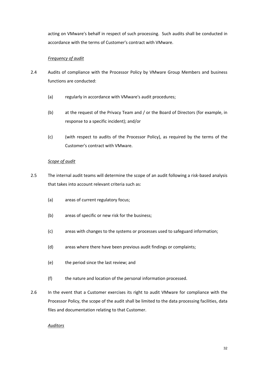acting on VMware's behalf in respect of such processing. Such audits shall be conducted in accordance with the terms of Customer's contract with VMware.

## *Frequency of audit*

- 2.4 Audits of compliance with the Processor Policy by VMware Group Members and business functions are conducted:
	- (a) regularly in accordance with VMware's audit procedures;
	- (b) at the request of the Privacy Team and / or the Board of Directors (for example, in response to a specific incident); and/or
	- (c) (with respect to audits of the Processor Policy), as required by the terms of the Customer's contract with VMware.

## *Scope of audit*

- 2.5 The internal audit teams will determine the scope of an audit following a risk-based analysis that takes into account relevant criteria such as:
	- (a) areas of current regulatory focus;
	- (b) areas of specific or new risk for the business;
	- (c) areas with changes to the systems or processes used to safeguard information;
	- (d) areas where there have been previous audit findings or complaints;
	- (e) the period since the last review; and
	- (f) the nature and location of the personal information processed.
- 2.6 In the event that a Customer exercises its right to audit VMware for compliance with the Processor Policy, the scope of the audit shall be limited to the data processing facilities, data files and documentation relating to that Customer.

## *Auditors*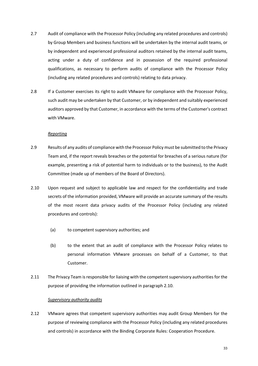- 2.7 Audit of compliance with the Processor Policy (including any related procedures and controls) by Group Members and business functions will be undertaken by the internal audit teams, or by independent and experienced professional auditors retained by the internal audit teams, acting under a duty of confidence and in possession of the required professional qualifications, as necessary to perform audits of compliance with the Processor Policy (including any related procedures and controls) relating to data privacy.
- 2.8 If a Customer exercises its right to audit VMware for compliance with the Processor Policy, such audit may be undertaken by that Customer, or by independent and suitably experienced auditors approved by that Customer, in accordance with the terms of the Customer's contract with VMware.

## *Reporting*

- 2.9 Results of any audits of compliance with the Processor Policy must be submitted to the Privacy Team and, if the report reveals breaches or the potential for breaches of a serious nature (for example, presenting a risk of potential harm to individuals or to the business), to the Audit Committee (made up of members of the Board of Directors).
- 2.10 Upon request and subject to applicable law and respect for the confidentiality and trade secrets of the information provided, VMware will provide an accurate summary of the results of the most recent data privacy audits of the Processor Policy (including any related procedures and controls):
	- (a) to competent supervisory authorities; and
	- (b) to the extent that an audit of compliance with the Processor Policy relates to personal information VMware processes on behalf of a Customer, to that Customer.
- 2.11 The Privacy Team is responsible for liaising with the competent supervisory authorities for the purpose of providing the information outlined in paragraph 2.10.

## *Supervisory authority audits*

2.12 VMware agrees that competent supervisory authorities may audit Group Members for the purpose of reviewing compliance with the Processor Policy (including any related procedures and controls) in accordance with the Binding Corporate Rules: Cooperation Procedure.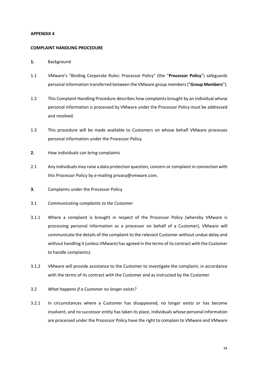## **APPENDIX 4**

#### **COMPLAINT HANDLING PROCEDURE**

- **1.** Background
- 1.1 VMware's "Binding Corporate Rules: Processor Policy" (the "**Processor Policy**") safeguards personal information transferred between the VMware group members ("**Group Members**").
- 1.2 This Complaint Handling Procedure describes how complaints brought by an individual whose personal information is processed by VMware under the Processor Policy must be addressed and resolved.
- 1.3 This procedure will be made available to Customers on whose behalf VMware processes personal information under the Processor Policy.
- **2.** How individuals can bring complaints
- 2.1 Any individuals may raise a data protection question, concern or complaint in connection with this Processor Policy by e-mailing privacy@vmware.com.
- **3.** Complaints under the Processor Policy
- 3.1 *Communicating complaints to the Customer*
- 3.1.1 Where a complaint is brought in respect of the Processor Policy (whereby VMware is processing personal information as a processor on behalf of a Customer), VMware will communicate the details of the complaint to the relevant Customer without undue delay and without handling it (unless VMware) has agreed in the terms of its contract with the Customer to handle complaints).
- 3.1.2 VMware will provide assistance to the Customer to investigate the complaint, in accordance with the terms of its contract with the Customer and as instructed by the Customer.
- 3.2 *What happens if a Customer no longer exists?*
- 3.2.1 In circumstances where a Customer has disappeared, no longer exists or has become insolvent, and no successor entity has taken its place, individuals whose personal information are processed under the Processor Policy have the right to complain to VMware and VMware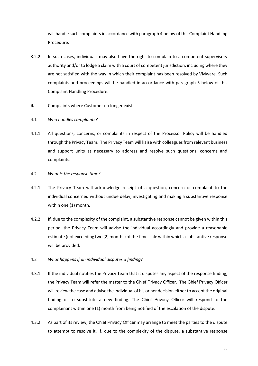will handle such complaints in accordance with paragraph 4 below of this Complaint Handling Procedure.

- 3.2.2 In such cases, individuals may also have the right to complain to a competent supervisory authority and/or to lodge a claim with a court of competent jurisdiction, including where they are not satisfied with the way in which their complaint has been resolved by VMware. Such complaints and proceedings will be handled in accordance with paragraph 5 below of this Complaint Handling Procedure.
- **4.** Complaints where Customer no longer exists
- 4.1 *Who handles complaints?*
- 4.1.1 All questions, concerns, or complaints in respect of the Processor Policy will be handled through the Privacy Team. The Privacy Team will liaise with colleagues from relevant business and support units as necessary to address and resolve such questions, concerns and complaints.
- 4.2 *What is the response time?*
- 4.2.1 The Privacy Team will acknowledge receipt of a question, concern or complaint to the individual concerned without undue delay, investigating and making a substantive response within one (1) month.
- 4.2.2 If, due to the complexity of the complaint, a substantive response cannot be given within this period, the Privacy Team will advise the individual accordingly and provide a reasonable estimate (not exceeding two (2) months) of the timescale within which a substantive response will be provided.
- 4.3 *What happens if an individual disputes a finding?*
- 4.3.1 If the individual notifies the Privacy Team that it disputes any aspect of the response finding, the Privacy Team will refer the matter to the Chief Privacy Officer. The Chief Privacy Officer will review the case and advise the individual of his or her decision either to accept the original finding or to substitute a new finding. The Chief Privacy Officer will respond to the complainant within one (1) month from being notified of the escalation of the dispute.
- 4.3.2 As part of its review, the Chief Privacy Officer may arrange to meet the parties to the dispute to attempt to resolve it. If, due to the complexity of the dispute, a substantive response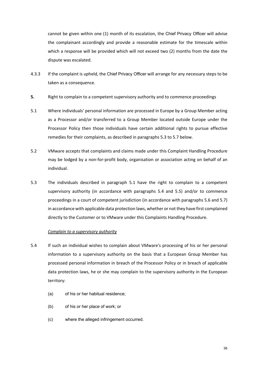cannot be given within one (1) month of its escalation, the Chief Privacy Officer will advise the complainant accordingly and provide a reasonable estimate for the timescale within which a response will be provided which will not exceed two (2) months from the date the dispute was escalated.

- 4.3.3 If the complaint is upheld, the Chief Privacy Officer will arrange for any necessary steps to be taken as a consequence.
- **5.** Right to complain to a competent supervisory authority and to commence proceedings
- 5.1 Where individuals' personal information are processed in Europe by a Group Member acting as a Processor and/or transferred to a Group Member located outside Europe under the Processor Policy then those individuals have certain additional rights to pursue effective remedies for their complaints, as described in paragraphs 5.3 to 5.7 below.
- 5.2 VMware accepts that complaints and claims made under this Complaint Handling Procedure may be lodged by a non-for-profit body, organisation or association acting on behalf of an individual.
- 5.3 The individuals described in paragraph 5.1 have the right to complain to a competent supervisory authority (in accordance with paragraphs 5.4 and 5.5) and/or to commence proceedings in a court of competent jurisdiction (in accordance with paragraphs 5.6 and 5.7) in accordance with applicable data protection laws, whether or not they have first complained directly to the Customer or to VMware under this Complaints Handling Procedure.

## *Complain to a supervisory authority*

- 5.4 If such an individual wishes to complain about VMware's processing of his or her personal information to a supervisory authority on the basis that a European Group Member has processed personal information in breach of the Processor Policy or in breach of applicable data protection laws, he or she may complain to the supervisory authority in the European territory:
	- (a) of his or her habitual residence;
	- (b) of his or her place of work; or
	- (c) where the alleged infringement occurred.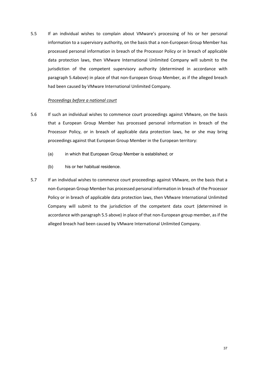5.5 If an individual wishes to complain about VMware's processing of his or her personal information to a supervisory authority, on the basis that a non-European Group Member has processed personal information in breach of the Processor Policy or in breach of applicable data protection laws, then VMware International Unlimited Company will submit to the jurisdiction of the competent supervisory authority (determined in accordance with paragraph 5.4above) in place of that non-European Group Member, as if the alleged breach had been caused by VMware International Unlimited Company.

## *Proceedings before a national court*

- 5.6 If such an individual wishes to commence court proceedings against VMware, on the basis that a European Group Member has processed personal information in breach of the Processor Policy, or in breach of applicable data protection laws, he or she may bring proceedings against that European Group Member in the European territory:
	- (a) in which that European Group Member is established; or
	- (b) his or her habitual residence.
- 5.7 If an individual wishes to commence court proceedings against VMware, on the basis that a non-European Group Member has processed personal information in breach of the Processor Policy or in breach of applicable data protection laws, then VMware International Unlimited Company will submit to the jurisdiction of the competent data court (determined in accordance with paragraph 5.5 above) in place of that non-European group member, as if the alleged breach had been caused by VMware International Unlimited Company.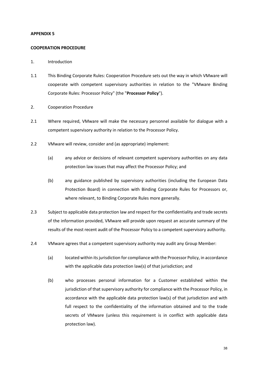## **APPENDIX 5**

#### **COOPERATION PROCEDURE**

## 1. Introduction

- 1.1 This Binding Corporate Rules: Cooperation Procedure sets out the way in which VMware will cooperate with competent supervisory authorities in relation to the "VMware Binding Corporate Rules: Processor Policy" (the "**Processor Policy**").
- 2. Cooperation Procedure
- 2.1 Where required, VMware will make the necessary personnel available for dialogue with a competent supervisory authority in relation to the Processor Policy.
- 2.2 VMware will review, consider and (as appropriate) implement:
	- (a) any advice or decisions of relevant competent supervisory authorities on any data protection law issues that may affect the Processor Policy; and
	- (b) any guidance published by supervisory authorities (including the European Data Protection Board) in connection with Binding Corporate Rules for Processors or, where relevant, to Binding Corporate Rules more generally.
- 2.3 Subject to applicable data protection law and respect for the confidentiality and trade secrets of the information provided, VMware will provide upon request an accurate summary of the results of the most recent audit of the Processor Policy to a competent supervisory authority.
- 2.4 VMware agrees that a competent supervisory authority may audit any Group Member:
	- (a) located within its jurisdiction for compliance with the Processor Policy, in accordance with the applicable data protection law(s) of that jurisdiction; and
	- (b) who processes personal information for a Customer established within the jurisdiction of that supervisory authority for compliance with the Processor Policy, in accordance with the applicable data protection law(s) of that jurisdiction and with full respect to the confidentiality of the information obtained and to the trade secrets of VMware (unless this requirement is in conflict with applicable data protection law).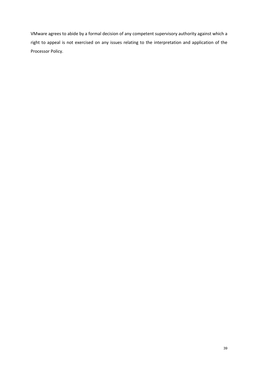VMware agrees to abide by a formal decision of any competent supervisory authority against which a right to appeal is not exercised on any issues relating to the interpretation and application of the Processor Policy.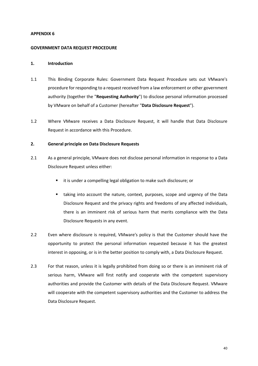## **APPENDIX 6**

## **GOVERNMENT DATA REQUEST PROCEDURE**

## **1. Introduction**

- 1.1 This Binding Corporate Rules: Government Data Request Procedure sets out VMware's procedure for responding to a request received from a law enforcement or other government authority (together the "**Requesting Authority**") to disclose personal information processed by VMware on behalf of a Customer (hereafter "**Data Disclosure Request**").
- 1.2 Where VMware receives a Data Disclosure Request, it will handle that Data Disclosure Request in accordance with this Procedure.

## **2. General principle on Data Disclosure Requests**

- 2.1 As a general principle, VMware does not disclose personal information in response to a Data Disclosure Request unless either:
	- it is under a compelling legal obligation to make such disclosure; or
	- § taking into account the nature, context, purposes, scope and urgency of the Data Disclosure Request and the privacy rights and freedoms of any affected individuals, there is an imminent risk of serious harm that merits compliance with the Data Disclosure Requests in any event.
- 2.2 Even where disclosure is required, VMware's policy is that the Customer should have the opportunity to protect the personal information requested because it has the greatest interest in opposing, or is in the better position to comply with, a Data Disclosure Request.
- 2.3 For that reason, unless it is legally prohibited from doing so or there is an imminent risk of serious harm, VMware will first notify and cooperate with the competent supervisory authorities and provide the Customer with details of the Data Disclosure Request. VMware will cooperate with the competent supervisory authorities and the Customer to address the Data Disclosure Request.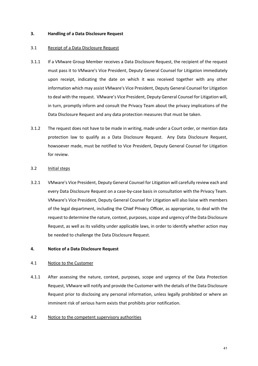## **3. Handling of a Data Disclosure Request**

## 3.1 Receipt of a Data Disclosure Request

- 3.1.1 If a VMware Group Member receives a Data Disclosure Request, the recipient of the request must pass it to VMware's Vice President, Deputy General Counsel for Litigation immediately upon receipt, indicating the date on which it was received together with any other information which may assist VMware's Vice President, Deputy General Counsel for Litigation to deal with the request. VMware's Vice President, Deputy General Counsel for Litigation will, in turn, promptly inform and consult the Privacy Team about the privacy implications of the Data Disclosure Request and any data protection measures that must be taken.
- 3.1.2 The request does not have to be made in writing, made under a Court order, or mention data protection law to qualify as a Data Disclosure Request. Any Data Disclosure Request, howsoever made, must be notified to Vice President, Deputy General Counsel for Litigation for review.

## 3.2 Initial steps

3.2.1 VMware's Vice President, Deputy General Counsel for Litigation will carefully review each and every Data Disclosure Request on a case-by-case basis in consultation with the Privacy Team. VMware's Vice President, Deputy General Counsel for Litigation will also liaise with members of the legal department, including the Chief Privacy Officer, as appropriate, to deal with the request to determine the nature, context, purposes, scope and urgency of the Data Disclosure Request, as well as its validity under applicable laws, in order to identify whether action may be needed to challenge the Data Disclosure Request.

## **4. Notice of a Data Disclosure Request**

#### 4.1 Notice to the Customer

4.1.1 After assessing the nature, context, purposes, scope and urgency of the Data Protection Request, VMware will notify and provide the Customer with the details of the Data Disclosure Request prior to disclosing any personal information, unless legally prohibited or where an imminent risk of serious harm exists that prohibits prior notification.

## 4.2 Notice to the competent supervisory authorities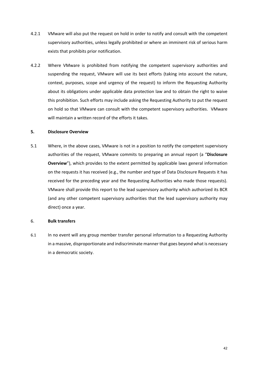- 4.2.1 VMware will also put the request on hold in order to notify and consult with the competent supervisory authorities, unless legally prohibited or where an imminent risk of serious harm exists that prohibits prior notification.
- 4.2.2 Where VMware is prohibited from notifying the competent supervisory authorities and suspending the request, VMware will use its best efforts (taking into account the nature, context, purposes, scope and urgency of the request) to inform the Requesting Authority about its obligations under applicable data protection law and to obtain the right to waive this prohibition. Such efforts may include asking the Requesting Authority to put the request on hold so that VMware can consult with the competent supervisory authorities. VMware will maintain a written record of the efforts it takes.

## **5. Disclosure Overview**

5.1 Where, in the above cases, VMware is not in a position to notify the competent supervisory authorities of the request, VMware commits to preparing an annual report (a "**Disclosure Overview**"), which provides to the extent permitted by applicable laws general information on the requests it has received (e.g., the number and type of Data Disclosure Requests it has received for the preceding year and the Requesting Authorities who made those requests). VMware shall provide this report to the lead supervisory authority which authorized its BCR (and any other competent supervisory authorities that the lead supervisory authority may direct) once a year.

## 6. **Bulk transfers**

6.1 In no event will any group member transfer personal information to a Requesting Authority in a massive, disproportionate and indiscriminate manner that goes beyond what is necessary in a democratic society.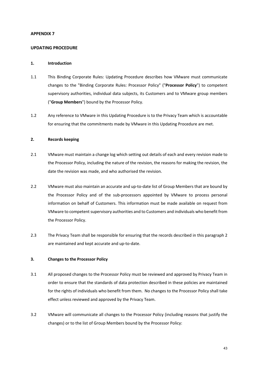## **APPENDIX 7**

#### **UPDATING PROCEDURE**

#### **1. Introduction**

- 1.1 This Binding Corporate Rules: Updating Procedure describes how VMware must communicate changes to the "Binding Corporate Rules: Processor Policy" ("**Processor Policy**") to competent supervisory authorities, individual data subjects, its Customers and to VMware group members ("**Group Members**") bound by the Processor Policy.
- 1.2 Any reference to VMware in this Updating Procedure is to the Privacy Team which is accountable for ensuring that the commitments made by VMware in this Updating Procedure are met.

## **2. Records keeping**

- 2.1 VMware must maintain a change log which setting out details of each and every revision made to the Processor Policy, including the nature of the revision, the reasons for making the revision, the date the revision was made, and who authorised the revision.
- 2.2 VMware must also maintain an accurate and up-to-date list of Group Members that are bound by the Processor Policy and of the sub-processors appointed by VMware to process personal information on behalf of Customers. This information must be made available on request from VMware to competent supervisory authorities and to Customers and individuals who benefit from the Processor Policy.
- 2.3 The Privacy Team shall be responsible for ensuring that the records described in this paragraph 2 are maintained and kept accurate and up-to-date.

## **3. Changes to the Processor Policy**

- 3.1 All proposed changes to the Processor Policy must be reviewed and approved by Privacy Team in order to ensure that the standards of data protection described in these policies are maintained for the rights of individuals who benefit from them. No changes to the Processor Policy shall take effect unless reviewed and approved by the Privacy Team.
- 3.2 VMware will communicate all changes to the Processor Policy (including reasons that justify the changes) or to the list of Group Members bound by the Processor Policy: